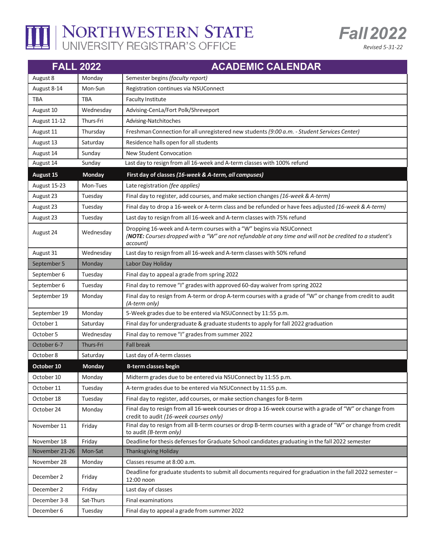

## THE NORTHWESTERN STATE

| <b>FALL 2022</b> |                  | <b>ACADEMIC CALENDAR</b>                                                                                                                                                                     |
|------------------|------------------|----------------------------------------------------------------------------------------------------------------------------------------------------------------------------------------------|
| August 8         | Monday           | Semester begins (faculty report)                                                                                                                                                             |
| August 8-14      | Mon-Sun          | Registration continues via NSUConnect                                                                                                                                                        |
| TBA              | TBA              | <b>Faculty Institute</b>                                                                                                                                                                     |
| August 10        | Wednesday        | Advising-CenLa/Fort Polk/Shreveport                                                                                                                                                          |
| August 11-12     | Thurs-Fri        | Advising-Natchitoches                                                                                                                                                                        |
| August 11        | Thursday         | Freshman Connection for all unregistered new students (9:00 a.m. - Student Services Center)                                                                                                  |
| August 13        | Saturday         | Residence halls open for all students                                                                                                                                                        |
| August 14        | Sunday           | New Student Convocation                                                                                                                                                                      |
| August 14        | Sunday           | Last day to resign from all 16-week and A-term classes with 100% refund                                                                                                                      |
| <b>August 15</b> | Monday           | First day of classes (16-week & A-term, all campuses)                                                                                                                                        |
| August 15-23     | Mon-Tues         | Late registration (fee applies)                                                                                                                                                              |
| August 23        | Tuesday          | Final day to register, add courses, and make section changes (16-week & A-term)                                                                                                              |
| August 23        | Tuesday          | Final day to drop a 16-week or A-term class and be refunded or have fees adjusted (16-week & A-term)                                                                                         |
| August 23        | Tuesday          | Last day to resign from all 16-week and A-term classes with 75% refund                                                                                                                       |
| August 24        | Wednesday        | Dropping 16-week and A-term courses with a "W" begins via NSUConnect<br>(NOTE: Courses dropped with a "W" are not refundable at any time and will not be credited to a student's<br>account) |
| August 31        | Wednesday        | Last day to resign from all 16-week and A-term classes with 50% refund                                                                                                                       |
| September 5      | Monday           | Labor Day Holiday                                                                                                                                                                            |
| September 6      | Tuesday          | Final day to appeal a grade from spring 2022                                                                                                                                                 |
| September 6      | Tuesday          | Final day to remove "I" grades with approved 60-day waiver from spring 2022                                                                                                                  |
| September 19     | Monday           | Final day to resign from A-term or drop A-term courses with a grade of "W" or change from credit to audit<br>(A-term only)                                                                   |
| September 19     | Monday           | 5-Week grades due to be entered via NSUConnect by 11:55 p.m.                                                                                                                                 |
| October 1        | Saturday         | Final day for undergraduate & graduate students to apply for fall 2022 graduation                                                                                                            |
| October 5        | Wednesday        | Final day to remove "I" grades from summer 2022                                                                                                                                              |
| October 6-7      | <b>Thurs-Fri</b> | <b>Fall break</b>                                                                                                                                                                            |
| October 8        | Saturday         | Last day of A-term classes                                                                                                                                                                   |
| October 10       | Monday           | <b>B-term classes begin</b>                                                                                                                                                                  |
| October 10       | Monday           | Midterm grades due to be entered via NSUConnect by 11:55 p.m.                                                                                                                                |
| October 11       | Tuesday          | A-term grades due to be entered via NSUConnect by 11:55 p.m.                                                                                                                                 |
| October 18       | Tuesday          | Final day to register, add courses, or make section changes for B-term                                                                                                                       |
| October 24       | Monday           | Final day to resign from all 16-week courses or drop a 16-week course with a grade of "W" or change from<br>credit to audit (16-week courses only)                                           |
| November 11      | Friday           | Final day to resign from all B-term courses or drop B-term courses with a grade of "W" or change from credit<br>to audit (B-term only)                                                       |
| November 18      | Friday           | Deadline for thesis defenses for Graduate School candidates graduating in the fall 2022 semester                                                                                             |
| November 21-26   | Mon-Sat          | Thanksgiving Holiday                                                                                                                                                                         |
| November 28      | Monday           | Classes resume at 8:00 a.m.                                                                                                                                                                  |
| December 2       | Friday           | Deadline for graduate students to submit all documents required for graduation in the fall 2022 semester -<br>12:00 noon                                                                     |
| December 2       | Friday           | Last day of classes                                                                                                                                                                          |
| December 3-8     | Sat-Thurs        | Final examinations                                                                                                                                                                           |
| December 6       | Tuesday          | Final day to appeal a grade from summer 2022                                                                                                                                                 |

**Fall 2022** 

Revised 5-31-22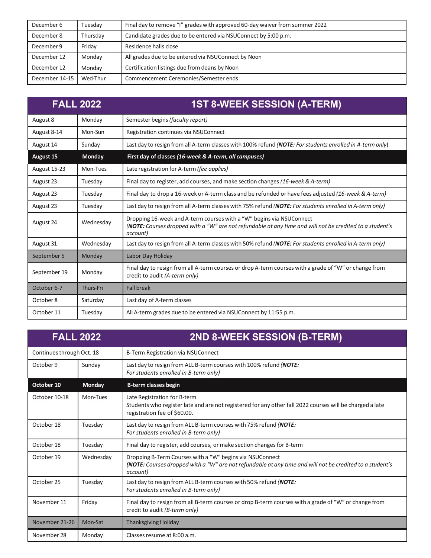| December 6     | Tuesdav  | Final day to remove "I" grades with approved 60-day waiver from summer 2022 |
|----------------|----------|-----------------------------------------------------------------------------|
| December 8     | Thursday | Candidate grades due to be entered via NSUConnect by 5:00 p.m.              |
| December 9     | Friday   | Residence halls close                                                       |
| December 12    | Monday   | All grades due to be entered via NSUConnect by Noon                         |
| December 12    | Monday   | Certification listings due from deans by Noon                               |
| December 14-15 | Wed-Thur | Commencement Ceremonies/Semester ends                                       |

|              | <b>FALL 2022</b> | <b>1ST 8-WEEK SESSION (A-TERM)</b>                                                                                                                                                           |
|--------------|------------------|----------------------------------------------------------------------------------------------------------------------------------------------------------------------------------------------|
| August 8     | Monday           | Semester begins (faculty report)                                                                                                                                                             |
| August 8-14  | Mon-Sun          | Registration continues via NSUConnect                                                                                                                                                        |
| August 14    | Sunday           | Last day to resign from all A-term classes with 100% refund (NOTE: For students enrolled in A-term only)                                                                                     |
| August 15    | Monday           | First day of classes (16-week & A-term, all campuses)                                                                                                                                        |
| August 15-23 | Mon-Tues         | Late registration for A-term (fee applies)                                                                                                                                                   |
| August 23    | Tuesday          | Final day to register, add courses, and make section changes (16-week & A-term)                                                                                                              |
| August 23    | Tuesday          | Final day to drop a 16-week or A-term class and be refunded or have fees adjusted (16-week & A-term)                                                                                         |
| August 23    | Tuesday          | Last day to resign from all A-term classes with 75% refund (NOTE: For students enrolled in A-term only)                                                                                      |
| August 24    | Wednesday        | Dropping 16-week and A-term courses with a "W" begins via NSUConnect<br>(NOTE: Courses dropped with a "W" are not refundable at any time and will not be credited to a student's<br>account) |
| August 31    | Wednesday        | Last day to resign from all A-term classes with 50% refund (NOTE: For students enrolled in A-term only)                                                                                      |
| September 5  | Monday           | Labor Day Holiday                                                                                                                                                                            |
| September 19 | Monday           | Final day to resign from all A-term courses or drop A-term courses with a grade of "W" or change from<br>credit to audit (A-term only)                                                       |
| October 6-7  | Thurs-Fri        | <b>Fall break</b>                                                                                                                                                                            |
| October 8    | Saturday         | Last day of A-term classes                                                                                                                                                                   |
| October 11   | Tuesday          | All A-term grades due to be entered via NSUConnect by 11:55 p.m.                                                                                                                             |

| <b>FALL 2022</b>          |               | 2ND 8-WEEK SESSION (B-TERM)                                                                                                                                                      |
|---------------------------|---------------|----------------------------------------------------------------------------------------------------------------------------------------------------------------------------------|
| Continues through Oct. 18 |               | B-Term Registration via NSUConnect                                                                                                                                               |
| October 9                 | Sunday        | Last day to resign from ALL B-term courses with 100% refund (NOTE:<br>For students enrolled in B-term only)                                                                      |
| October 10                | <b>Monday</b> | <b>B-term classes begin</b>                                                                                                                                                      |
| October 10-18             | Mon-Tues      | Late Registration for B-term<br>Students who register late and are not registered for any other fall 2022 courses will be charged a late<br>registration fee of \$60.00.         |
| October 18                | Tuesday       | Last day to resign from ALL B-term courses with 75% refund (NOTE:<br>For students enrolled in B-term only)                                                                       |
| October 18                | Tuesday       | Final day to register, add courses, or make section changes for B-term                                                                                                           |
| October 19                | Wednesday     | Dropping B-Term Courses with a "W" begins via NSUConnect<br>(NOTE: Courses dropped with a "W" are not refundable at any time and will not be credited to a student's<br>account) |
| October 25                | Tuesday       | Last day to resign from ALL B-term courses with 50% refund (NOTE:<br>For students enrolled in B-term only)                                                                       |
| November 11               | Friday        | Final day to resign from all B-term courses or drop B-term courses with a grade of "W" or change from<br>credit to audit (B-term only)                                           |
| November 21-26            | Mon-Sat       | <b>Thanksgiving Holiday</b>                                                                                                                                                      |
| November 28               | Monday        | Classes resume at 8:00 a.m.                                                                                                                                                      |